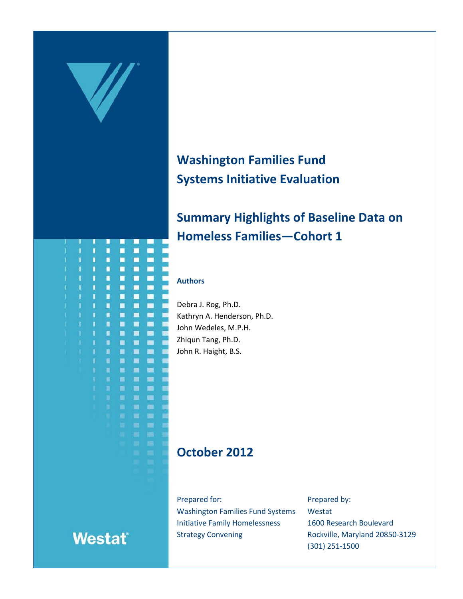

# **Washington Families Fund Systems Initiative Evaluation**

# **Summary Highlights of Baseline Data on Homeless Families—Cohort 1**

#### **Authors**

Debra J. Rog, Ph.D. Kathryn A. Henderson, Ph.D. John Wedeles, M.P.H. Zhiqun Tang, Ph.D. John R. Haight, B.S.

### **October 2012**

Prepared for: Washington Families Fund Systems Initiative Family Homelessness Strategy Convening

Prepared by: Westat 1600 Research Boulevard Rockville, Maryland 20850-3129 (301) 251-1500



# **Westat**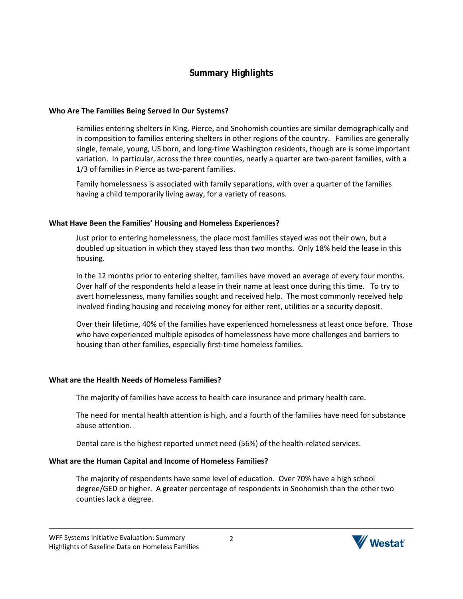### **Summary Highlights**

#### **Who Are The Families Being Served In Our Systems?**

Families entering shelters in King, Pierce, and Snohomish counties are similar demographically and in composition to families entering shelters in other regions of the country. Families are generally single, female, young, US born, and long-time Washington residents, though are is some important variation. In particular, across the three counties, nearly a quarter are two-parent families, with a 1/3 of families in Pierce as two-parent families.

Family homelessness is associated with family separations, with over a quarter of the families having a child temporarily living away, for a variety of reasons.

#### **What Have Been the Families' Housing and Homeless Experiences?**

Just prior to entering homelessness, the place most families stayed was not their own, but a doubled up situation in which they stayed less than two months. Only 18% held the lease in this housing.

In the 12 months prior to entering shelter, families have moved an average of every four months. Over half of the respondents held a lease in their name at least once during this time. To try to avert homelessness, many families sought and received help. The most commonly received help involved finding housing and receiving money for either rent, utilities or a security deposit.

Over their lifetime, 40% of the families have experienced homelessness at least once before. Those who have experienced multiple episodes of homelessness have more challenges and barriers to housing than other families, especially first-time homeless families.

#### **What are the Health Needs of Homeless Families?**

The majority of families have access to health care insurance and primary health care.

The need for mental health attention is high, and a fourth of the families have need for substance abuse attention.

Dental care is the highest reported unmet need (56%) of the health-related services.

#### **What are the Human Capital and Income of Homeless Families?**

The majority of respondents have some level of education. Over 70% have a high school degree/GED or higher. A greater percentage of respondents in Snohomish than the other two counties lack a degree.